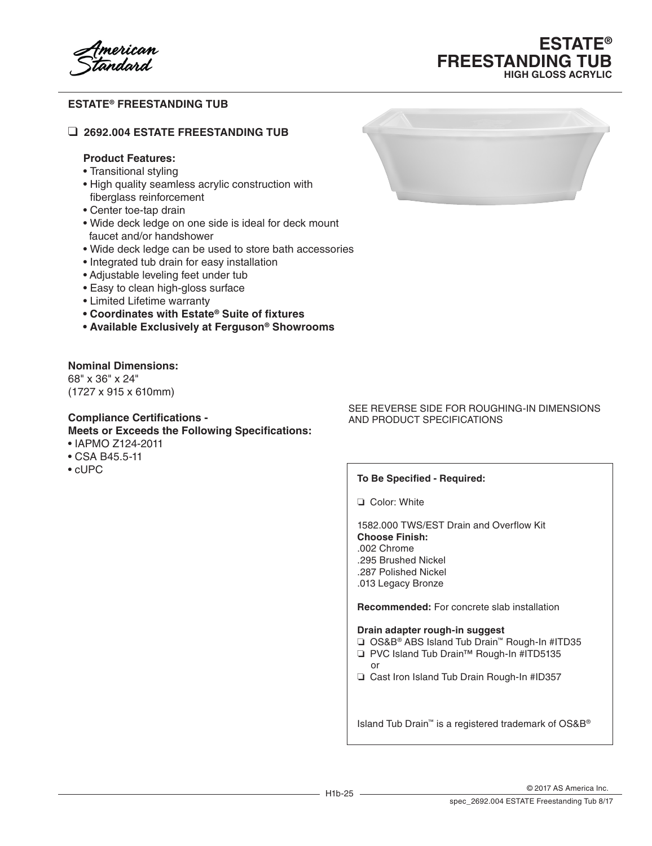# **ESTATE® FREESTANDING TUB HIGH GLOSS ACRYLIC**

### **ESTATE® FREESTANDING TUB**

#### ❑ **2692.004 ESTATE FREESTANDING TUB**

#### **Product Features:**

- Transitional styling
- High quality seamless acrylic construction with fiberglass reinforcement
- Center toe-tap drain
- Wide deck ledge on one side is ideal for deck mount faucet and/or handshower
- Wide deck ledge can be used to store bath accessories
- Integrated tub drain for easy installation
- Adjustable leveling feet under tub
- Easy to clean high-gloss surface
- Limited Lifetime warranty
- **• Coordinates with Estate® Suite of fixtures**
- **• Available Exclusively at Ferguson® Showrooms**

### **Nominal Dimensions:**

68" x 36" x 24" (1727 x 915 x 610mm)

#### **Compliance Certifications - Meets or Exceeds the Following Specifications:**

- IAPMO Z124-2011
- CSA B45.5-11
- cUPC



#### SEE REVERSE SIDE FOR ROUGHING-IN DIMENSIONS AND PRODUCT SPECIFICATIONS

#### **To Be Specified - Required:**

❏ Color: White

1582.000 TWS/EST Drain and Overflow Kit **Choose Finish:** .002 Chrome .295 Brushed Nickel .287 Polished Nickel

.013 Legacy Bronze

**Recommended:** For concrete slab installation

#### **Drain adapter rough-in suggest**

- ❏ OS&B® ABS Island Tub Drain™ Rough-In #ITD35
- ❏ PVC Island Tub Drain™ Rough-In #ITD5135
- or ❏ Cast Iron Island Tub Drain Rough-In #ID357

Island Tub Drain™ is a registered trademark of OS&B®

© 2017 AS America Inc.